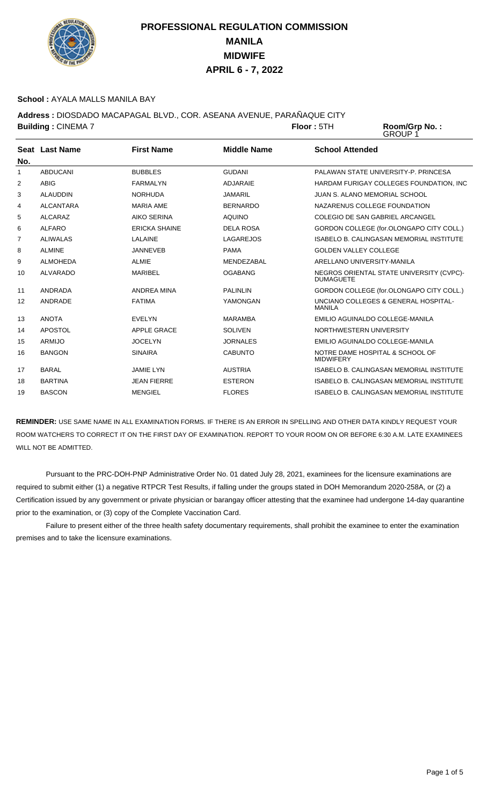

### **School :** AYALA MALLS MANILA BAY

**Address :** DIOSDADO MACAPAGAL BLVD., COR. ASEANA AVENUE, PARAÑAQUE CITY **Building : CINEMA 7 <b>Floor** : 5TH

Room/Grp No.:<br>GROUP 1

| No. | Seat Last Name   | <b>First Name</b>    | Middle Name      | <b>School Attended</b>                                       |
|-----|------------------|----------------------|------------------|--------------------------------------------------------------|
| 1   | <b>ABDUCANI</b>  | <b>BUBBLES</b>       | <b>GUDANI</b>    | PALAWAN STATE UNIVERSITY-P. PRINCESA                         |
| 2   | <b>ABIG</b>      | FARMALYN             | ADJARAIE         | HARDAM FURIGAY COLLEGES FOUNDATION. INC                      |
| 3   | <b>ALAUDDIN</b>  | <b>NORHUDA</b>       | <b>JAMARIL</b>   | <b>JUAN S. ALANO MEMORIAL SCHOOL</b>                         |
| 4   | <b>ALCANTARA</b> | <b>MARIA AME</b>     | <b>BERNARDO</b>  | NAZARENUS COLLEGE FOUNDATION                                 |
| 5   | <b>ALCARAZ</b>   | <b>AIKO SERINA</b>   | <b>AQUINO</b>    | COLEGIO DE SAN GABRIEL ARCANGEL                              |
| 6   | <b>ALFARO</b>    | <b>ERICKA SHAINE</b> | <b>DELA ROSA</b> | GORDON COLLEGE (for.OLONGAPO CITY COLL.)                     |
| 7   | <b>ALIWALAS</b>  | I AI AINF            | LAGAREJOS        | <b>ISABELO B. CALINGASAN MEMORIAL INSTITUTE</b>              |
| 8   | <b>ALMINE</b>    | <b>JANNEVEB</b>      | <b>PAMA</b>      | <b>GOLDEN VALLEY COLLEGE</b>                                 |
| 9   | <b>ALMOHEDA</b>  | <b>ALMIE</b>         | MENDEZABAL       | ARELLANO UNIVERSITY-MANILA                                   |
| 10  | <b>ALVARADO</b>  | <b>MARIBEL</b>       | <b>OGABANG</b>   | NEGROS ORIENTAL STATE UNIVERSITY (CVPC)-<br><b>DUMAGUETE</b> |
| 11  | ANDRADA          | ANDREA MINA          | <b>PALINLIN</b>  | GORDON COLLEGE (for.OLONGAPO CITY COLL.)                     |
| 12  | ANDRADE          | <b>FATIMA</b>        | YAMONGAN         | UNCIANO COLLEGES & GENERAL HOSPITAL-<br>MANILA               |
| 13  | <b>ANOTA</b>     | <b>EVELYN</b>        | <b>MARAMBA</b>   | EMILIO AGUINALDO COLLEGE-MANILA                              |
| 14  | APOSTOL          | <b>APPLE GRACE</b>   | <b>SOLIVEN</b>   | NORTHWESTERN UNIVERSITY                                      |
| 15  | ARMIJO           | <b>JOCELYN</b>       | <b>JORNALES</b>  | EMILIO AGUINALDO COLLEGE-MANILA                              |
| 16  | <b>BANGON</b>    | <b>SINAIRA</b>       | <b>CABUNTO</b>   | NOTRE DAME HOSPITAL & SCHOOL OF<br><b>MIDWIFERY</b>          |
| 17  | <b>BARAL</b>     | <b>JAMIE LYN</b>     | <b>AUSTRIA</b>   | <b>ISABELO B. CALINGASAN MEMORIAL INSTITUTE</b>              |
| 18  | <b>BARTINA</b>   | <b>JEAN FIERRE</b>   | <b>ESTERON</b>   | <b>ISABELO B. CALINGASAN MEMORIAL INSTITUTE</b>              |
| 19  | <b>BASCON</b>    | <b>MENGIEL</b>       | <b>FLORES</b>    | <b>ISABELO B. CALINGASAN MEMORIAL INSTITUTE</b>              |

**REMINDER:** USE SAME NAME IN ALL EXAMINATION FORMS. IF THERE IS AN ERROR IN SPELLING AND OTHER DATA KINDLY REQUEST YOUR ROOM WATCHERS TO CORRECT IT ON THE FIRST DAY OF EXAMINATION. REPORT TO YOUR ROOM ON OR BEFORE 6:30 A.M. LATE EXAMINEES WILL NOT BE ADMITTED.

 Pursuant to the PRC-DOH-PNP Administrative Order No. 01 dated July 28, 2021, examinees for the licensure examinations are required to submit either (1) a negative RTPCR Test Results, if falling under the groups stated in DOH Memorandum 2020-258A, or (2) a Certification issued by any government or private physician or barangay officer attesting that the examinee had undergone 14-day quarantine prior to the examination, or (3) copy of the Complete Vaccination Card.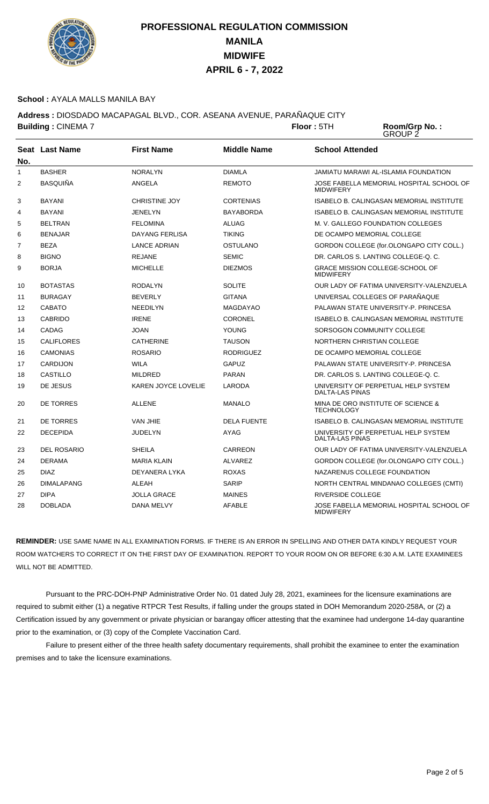

### **School :** AYALA MALLS MANILA BAY

**Address :** DIOSDADO MACAPAGAL BLVD., COR. ASEANA AVENUE, PARAÑAQUE CITY **Building : CINEMA 7 <b>Floor** : 5TH

Room/Grp No.:<br>GROUP 2

| No.            | <b>Seat Last Name</b> | <b>First Name</b>    | <b>Middle Name</b> | <b>School Attended</b>                                        |
|----------------|-----------------------|----------------------|--------------------|---------------------------------------------------------------|
| 1              | <b>BASHER</b>         | <b>NORALYN</b>       | <b>DIAMLA</b>      | <b>JAMIATU MARAWI AL-ISLAMIA FOUNDATION</b>                   |
| $\overline{2}$ | <b>BASQUIÑA</b>       | ANGELA               | <b>REMOTO</b>      | JOSE FABELLA MEMORIAL HOSPITAL SCHOOL OF<br><b>MIDWIFERY</b>  |
| 3              | <b>BAYANI</b>         | <b>CHRISTINE JOY</b> | <b>CORTENIAS</b>   | <b>ISABELO B. CALINGASAN MEMORIAL INSTITUTE</b>               |
| 4              | <b>BAYANI</b>         | <b>JENELYN</b>       | <b>BAYABORDA</b>   | <b>ISABELO B. CALINGASAN MEMORIAL INSTITUTE</b>               |
| 5              | <b>BELTRAN</b>        | <b>FELOMINA</b>      | <b>ALUAG</b>       | M. V. GALLEGO FOUNDATION COLLEGES                             |
| 6              | <b>BENAJAR</b>        | DAYANG FERLISA       | <b>TIKING</b>      | DE OCAMPO MEMORIAL COLLEGE                                    |
| $\overline{7}$ | <b>BEZA</b>           | <b>LANCE ADRIAN</b>  | <b>OSTULANO</b>    | GORDON COLLEGE (for.OLONGAPO CITY COLL.)                      |
| 8              | <b>BIGNO</b>          | <b>REJANE</b>        | <b>SEMIC</b>       | DR. CARLOS S. LANTING COLLEGE-Q. C.                           |
| 9              | <b>BORJA</b>          | <b>MICHELLE</b>      | <b>DIEZMOS</b>     | GRACE MISSION COLLEGE-SCHOOL OF<br><b>MIDWIFERY</b>           |
| 10             | <b>BOTASTAS</b>       | <b>RODALYN</b>       | <b>SOLITE</b>      | OUR LADY OF FATIMA UNIVERSITY-VALENZUELA                      |
| 11             | <b>BURAGAY</b>        | <b>BEVERLY</b>       | <b>GITANA</b>      | UNIVERSAL COLLEGES OF PARAÑAQUE                               |
| 12             | CABATO                | <b>NEEDILYN</b>      | <b>MAGDAYAO</b>    | PALAWAN STATE UNIVERSITY-P. PRINCESA                          |
| 13             | <b>CABRIDO</b>        | <b>IRENE</b>         | <b>CORONEL</b>     | <b>ISABELO B. CALINGASAN MEMORIAL INSTITUTE</b>               |
| 14             | CADAG                 | <b>JOAN</b>          | <b>YOUNG</b>       | SORSOGON COMMUNITY COLLEGE                                    |
| 15             | <b>CALIFLORES</b>     | <b>CATHERINE</b>     | <b>TAUSON</b>      | NORTHERN CHRISTIAN COLLEGE                                    |
| 16             | <b>CAMONIAS</b>       | <b>ROSARIO</b>       | <b>RODRIGUEZ</b>   | DE OCAMPO MEMORIAL COLLEGE                                    |
| 17             | <b>CARDIJON</b>       | <b>WILA</b>          | <b>GAPUZ</b>       | PALAWAN STATE UNIVERSITY-P. PRINCESA                          |
| 18             | <b>CASTILLO</b>       | <b>MILDRED</b>       | <b>PARAN</b>       | DR. CARLOS S. LANTING COLLEGE-Q. C.                           |
| 19             | DE JESUS              | KAREN JOYCE LOVELIE  | LARODA             | UNIVERSITY OF PERPETUAL HELP SYSTEM<br><b>DALTA-LAS PINAS</b> |
| 20             | DE TORRES             | <b>ALLENE</b>        | <b>MANALO</b>      | MINA DE ORO INSTITUTE OF SCIENCE &<br><b>TECHNOLOGY</b>       |
| 21             | DE TORRES             | <b>VAN JHIE</b>      | <b>DELA FUENTE</b> | ISABELO B. CALINGASAN MEMORIAL INSTITUTE                      |
| 22             | <b>DECEPIDA</b>       | <b>JUDELYN</b>       | <b>AYAG</b>        | UNIVERSITY OF PERPETUAL HELP SYSTEM<br><b>DALTA-LAS PINAS</b> |
| 23             | <b>DEL ROSARIO</b>    | <b>SHEILA</b>        | CARREON            | OUR LADY OF FATIMA UNIVERSITY-VALENZUELA                      |
| 24             | <b>DERAMA</b>         | <b>MARIA KLAIN</b>   | <b>ALVAREZ</b>     | GORDON COLLEGE (for.OLONGAPO CITY COLL.)                      |
| 25             | <b>DIAZ</b>           | DEYANERA LYKA        | <b>ROXAS</b>       | NAZARENUS COLLEGE FOUNDATION                                  |
| 26             | <b>DIMALAPANG</b>     | ALEAH                | SARIP              | NORTH CENTRAL MINDANAO COLLEGES (CMTI)                        |
| 27             | <b>DIPA</b>           | <b>JOLLA GRACE</b>   | <b>MAINES</b>      | RIVERSIDE COLLEGE                                             |
| 28             | <b>DOBLADA</b>        | <b>DANA MELVY</b>    | <b>AFABLE</b>      | JOSE FABELLA MEMORIAL HOSPITAL SCHOOL OF<br><b>MIDWIFERY</b>  |

**REMINDER:** USE SAME NAME IN ALL EXAMINATION FORMS. IF THERE IS AN ERROR IN SPELLING AND OTHER DATA KINDLY REQUEST YOUR ROOM WATCHERS TO CORRECT IT ON THE FIRST DAY OF EXAMINATION. REPORT TO YOUR ROOM ON OR BEFORE 6:30 A.M. LATE EXAMINEES WILL NOT BE ADMITTED.

 Pursuant to the PRC-DOH-PNP Administrative Order No. 01 dated July 28, 2021, examinees for the licensure examinations are required to submit either (1) a negative RTPCR Test Results, if falling under the groups stated in DOH Memorandum 2020-258A, or (2) a Certification issued by any government or private physician or barangay officer attesting that the examinee had undergone 14-day quarantine prior to the examination, or (3) copy of the Complete Vaccination Card.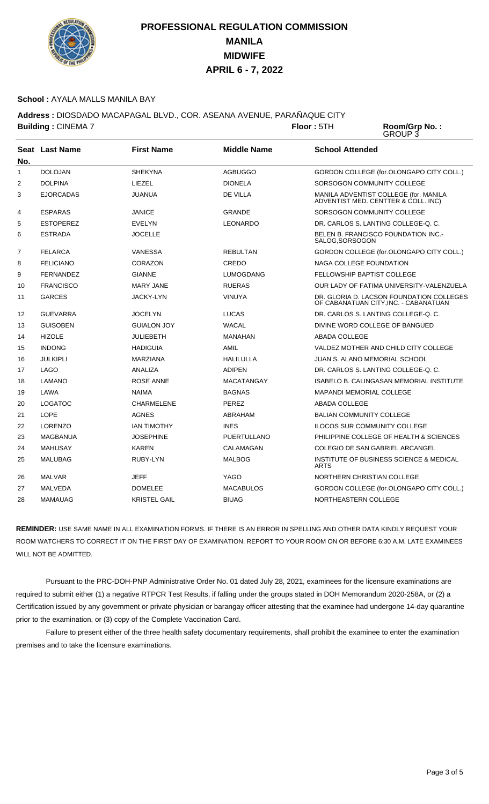

### **School :** AYALA MALLS MANILA BAY

**Address :** DIOSDADO MACAPAGAL BLVD., COR. ASEANA AVENUE, PARAÑAQUE CITY **Building : CINEMA 7 <b>Floor** : 5TH

Room/Grp No.:<br>GROUP 3

|                | <b>Seat Last Name</b> | <b>First Name</b>   | <b>Middle Name</b> | <b>School Attended</b>                                                            |
|----------------|-----------------------|---------------------|--------------------|-----------------------------------------------------------------------------------|
| No.            |                       |                     |                    |                                                                                   |
| $\mathbf{1}$   | <b>DOLOJAN</b>        | <b>SHEKYNA</b>      | <b>AGBUGGO</b>     | GORDON COLLEGE (for.OLONGAPO CITY COLL.)                                          |
| $\overline{2}$ | <b>DOLPINA</b>        | LIEZEL              | <b>DIONELA</b>     | SORSOGON COMMUNITY COLLEGE                                                        |
| 3              | <b>EJORCADAS</b>      | <b>JUANUA</b>       | DE VILLA           | MANILA ADVENTIST COLLEGE (for. MANILA<br>ADVENTIST MED. CENTTER & COLL. INC)      |
| 4              | <b>ESPARAS</b>        | <b>JANICE</b>       | <b>GRANDE</b>      | SORSOGON COMMUNITY COLLEGE                                                        |
| 5              | <b>ESTOPEREZ</b>      | <b>EVELYN</b>       | <b>LEONARDO</b>    | DR. CARLOS S. LANTING COLLEGE-Q. C.                                               |
| 6              | <b>ESTRADA</b>        | <b>JOCELLE</b>      |                    | BELEN B. FRANCISCO FOUNDATION INC.-<br>SALOG, SORSOGON                            |
| 7              | <b>FELARCA</b>        | VANESSA             | <b>REBULTAN</b>    | GORDON COLLEGE (for.OLONGAPO CITY COLL.)                                          |
| 8              | <b>FELICIANO</b>      | CORAZON             | CREDO              | NAGA COLLEGE FOUNDATION                                                           |
| 9              | <b>FERNANDEZ</b>      | <b>GIANNE</b>       | <b>LUMOGDANG</b>   | <b>FELLOWSHIP BAPTIST COLLEGE</b>                                                 |
| 10             | <b>FRANCISCO</b>      | <b>MARY JANE</b>    | <b>RUERAS</b>      | OUR LADY OF FATIMA UNIVERSITY-VALENZUELA                                          |
| 11             | <b>GARCES</b>         | <b>JACKY-LYN</b>    | <b>VINUYA</b>      | DR. GLORIA D. LACSON FOUNDATION COLLEGES<br>OF CABANATUAN CITY, INC. - CABANATUAN |
| 12             | <b>GUEVARRA</b>       | <b>JOCELYN</b>      | <b>LUCAS</b>       | DR. CARLOS S. LANTING COLLEGE-Q. C.                                               |
| 13             | <b>GUISOBEN</b>       | <b>GUIALON JOY</b>  | <b>WACAL</b>       | DIVINE WORD COLLEGE OF BANGUED                                                    |
| 14             | <b>HIZOLE</b>         | <b>JULIEBETH</b>    | <b>MANAHAN</b>     | <b>ABADA COLLEGE</b>                                                              |
| 15             | <b>INDONG</b>         | <b>HADIGUIA</b>     | <b>AMIL</b>        | VALDEZ MOTHER AND CHILD CITY COLLEGE                                              |
| 16             | <b>JULKIPLI</b>       | <b>MARZIANA</b>     | <b>HALILULLA</b>   | <b>JUAN S. ALANO MEMORIAL SCHOOL</b>                                              |
| 17             | <b>LAGO</b>           | ANALIZA             | <b>ADIPEN</b>      | DR. CARLOS S. LANTING COLLEGE-Q. C.                                               |
| 18             | <b>LAMANO</b>         | <b>ROSE ANNE</b>    | <b>MACATANGAY</b>  | <b>ISABELO B. CALINGASAN MEMORIAL INSTITUTE</b>                                   |
| 19             | LAWA                  | <b>NAIMA</b>        | <b>BAGNAS</b>      | <b>MAPANDI MEMORIAL COLLEGE</b>                                                   |
| 20             | <b>LOGATOC</b>        | <b>CHARMELENE</b>   | <b>PEREZ</b>       | ABADA COLLEGE                                                                     |
| 21             | <b>LOPE</b>           | <b>AGNES</b>        | ABRAHAM            | <b>BALIAN COMMUNITY COLLEGE</b>                                                   |
| 22             | <b>LORENZO</b>        | <b>IAN TIMOTHY</b>  | <b>INES</b>        | <b>ILOCOS SUR COMMUNITY COLLEGE</b>                                               |
| 23             | <b>MAGBANUA</b>       | <b>JOSEPHINE</b>    | PUERTULLANO        | PHILIPPINE COLLEGE OF HEALTH & SCIENCES                                           |
| 24             | <b>MAHUSAY</b>        | <b>KAREN</b>        | CALAMAGAN          | <b>COLEGIO DE SAN GABRIEL ARCANGEL</b>                                            |
| 25             | <b>MALUBAG</b>        | RUBY-LYN            | <b>MALBOG</b>      | INSTITUTE OF BUSINESS SCIENCE & MEDICAL<br><b>ARTS</b>                            |
| 26             | <b>MALVAR</b>         | <b>JEFF</b>         | YAGO               | NORTHERN CHRISTIAN COLLEGE                                                        |
| 27             | MALVEDA               | <b>DOMELEE</b>      | <b>MACABULOS</b>   | GORDON COLLEGE (for.OLONGAPO CITY COLL.)                                          |
| 28             | <b>MAMAUAG</b>        | <b>KRISTEL GAIL</b> | <b>BIUAG</b>       | NORTHEASTERN COLLEGE                                                              |

**REMINDER:** USE SAME NAME IN ALL EXAMINATION FORMS. IF THERE IS AN ERROR IN SPELLING AND OTHER DATA KINDLY REQUEST YOUR ROOM WATCHERS TO CORRECT IT ON THE FIRST DAY OF EXAMINATION. REPORT TO YOUR ROOM ON OR BEFORE 6:30 A.M. LATE EXAMINEES WILL NOT BE ADMITTED.

 Pursuant to the PRC-DOH-PNP Administrative Order No. 01 dated July 28, 2021, examinees for the licensure examinations are required to submit either (1) a negative RTPCR Test Results, if falling under the groups stated in DOH Memorandum 2020-258A, or (2) a Certification issued by any government or private physician or barangay officer attesting that the examinee had undergone 14-day quarantine prior to the examination, or (3) copy of the Complete Vaccination Card.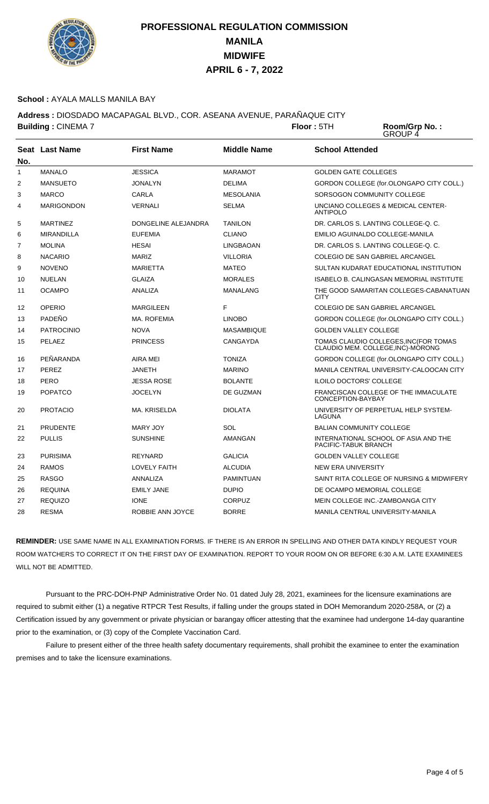

### **School :** AYALA MALLS MANILA BAY

**Address :** DIOSDADO MACAPAGAL BLVD., COR. ASEANA AVENUE, PARAÑAQUE CITY **Building : CINEMA 7 <b>Floor** : 5TH

Room/Grp No.:<br>GROUP 4

|              | Seat Last Name    | <b>First Name</b>   | <b>Middle Name</b> | <b>School Attended</b>                                                      |
|--------------|-------------------|---------------------|--------------------|-----------------------------------------------------------------------------|
| No.          |                   |                     |                    |                                                                             |
| $\mathbf{1}$ | <b>MANALO</b>     | <b>JESSICA</b>      | <b>MARAMOT</b>     | <b>GOLDEN GATE COLLEGES</b>                                                 |
| 2            | <b>MANSUETO</b>   | <b>JONALYN</b>      | <b>DELIMA</b>      | GORDON COLLEGE (for.OLONGAPO CITY COLL.)                                    |
| 3            | <b>MARCO</b>      | CARLA               | <b>MESOLANIA</b>   | SORSOGON COMMUNITY COLLEGE                                                  |
| 4            | <b>MARIGONDON</b> | <b>VERNALI</b>      | <b>SELMA</b>       | UNCIANO COLLEGES & MEDICAL CENTER-<br><b>ANTIPOLO</b>                       |
| 5            | <b>MARTINEZ</b>   | DONGELINE ALEJANDRA | <b>TANILON</b>     | DR. CARLOS S. LANTING COLLEGE-Q. C.                                         |
| 6            | <b>MIRANDILLA</b> | <b>EUFEMIA</b>      | <b>CLIANO</b>      | EMILIO AGUINALDO COLLEGE-MANILA                                             |
| 7            | <b>MOLINA</b>     | <b>HESAI</b>        | <b>LINGBAOAN</b>   | DR. CARLOS S. LANTING COLLEGE-Q. C.                                         |
| 8            | <b>NACARIO</b>    | <b>MARIZ</b>        | <b>VILLORIA</b>    | COLEGIO DE SAN GABRIEL ARCANGEL                                             |
| 9            | <b>NOVENO</b>     | <b>MARIETTA</b>     | <b>MATEO</b>       | SULTAN KUDARAT EDUCATIONAL INSTITUTION                                      |
| 10           | <b>NUELAN</b>     | <b>GLAIZA</b>       | <b>MORALES</b>     | <b>ISABELO B. CALINGASAN MEMORIAL INSTITUTE</b>                             |
| 11           | <b>OCAMPO</b>     | ANALIZA             | <b>MANALANG</b>    | THE GOOD SAMARITAN COLLEGES-CABANATUAN<br><b>CITY</b>                       |
| 12           | <b>OPERIO</b>     | <b>MARGILEEN</b>    | F                  | COLEGIO DE SAN GABRIEL ARCANGEL                                             |
| 13           | PADEÑO            | <b>MA. ROFEMIA</b>  | <b>LINOBO</b>      | GORDON COLLEGE (for.OLONGAPO CITY COLL.)                                    |
| 14           | <b>PATROCINIO</b> | <b>NOVA</b>         | <b>MASAMBIQUE</b>  | <b>GOLDEN VALLEY COLLEGE</b>                                                |
| 15           | PELAEZ            | <b>PRINCESS</b>     | CANGAYDA           | TOMAS CLAUDIO COLLEGES, INC (FOR TOMAS<br>CLAUDIO MEM. COLLEGE, INC)-MORONG |
| 16           | PEÑARANDA         | AIRA MEI            | <b>TONIZA</b>      | GORDON COLLEGE (for.OLONGAPO CITY COLL.)                                    |
| 17           | PEREZ             | <b>JANETH</b>       | <b>MARINO</b>      | MANILA CENTRAL UNIVERSITY-CALOOCAN CITY                                     |
| 18           | PERO              | <b>JESSA ROSE</b>   | <b>BOLANTE</b>     | <b>ILOILO DOCTORS' COLLEGE</b>                                              |
| 19           | <b>POPATCO</b>    | <b>JOCELYN</b>      | DE GUZMAN          | FRANCISCAN COLLEGE OF THE IMMACULATE<br>CONCEPTION-BAYBAY                   |
| 20           | <b>PROTACIO</b>   | MA. KRISELDA        | <b>DIOLATA</b>     | UNIVERSITY OF PERPETUAL HELP SYSTEM-<br>LAGUNA                              |
| 21           | <b>PRUDENTE</b>   | MARY JOY            | SOL                | <b>BALIAN COMMUNITY COLLEGE</b>                                             |
| 22           | <b>PULLIS</b>     | <b>SUNSHINE</b>     | AMANGAN            | INTERNATIONAL SCHOOL OF ASIA AND THE<br>PACIFIC-TABUK BRANCH                |
| 23           | <b>PURISIMA</b>   | <b>REYNARD</b>      | <b>GALICIA</b>     | <b>GOLDEN VALLEY COLLEGE</b>                                                |
| 24           | <b>RAMOS</b>      | <b>LOVELY FAITH</b> | <b>ALCUDIA</b>     | <b>NEW ERA UNIVERSITY</b>                                                   |
| 25           | <b>RASGO</b>      | ANNALIZA            | <b>PAMINTUAN</b>   | SAINT RITA COLLEGE OF NURSING & MIDWIFERY                                   |
| 26           | <b>REQUINA</b>    | <b>EMILY JANE</b>   | <b>DUPIO</b>       | DE OCAMPO MEMORIAL COLLEGE                                                  |
| 27           | <b>REQUIZO</b>    | <b>IONE</b>         | <b>CORPUZ</b>      | MEIN COLLEGE INC. ZAMBOANGA CITY                                            |
| 28           | <b>RESMA</b>      | ROBBIE ANN JOYCE    | <b>BORRE</b>       | MANILA CENTRAL UNIVERSITY-MANILA                                            |

**REMINDER:** USE SAME NAME IN ALL EXAMINATION FORMS. IF THERE IS AN ERROR IN SPELLING AND OTHER DATA KINDLY REQUEST YOUR ROOM WATCHERS TO CORRECT IT ON THE FIRST DAY OF EXAMINATION. REPORT TO YOUR ROOM ON OR BEFORE 6:30 A.M. LATE EXAMINEES WILL NOT BE ADMITTED.

 Pursuant to the PRC-DOH-PNP Administrative Order No. 01 dated July 28, 2021, examinees for the licensure examinations are required to submit either (1) a negative RTPCR Test Results, if falling under the groups stated in DOH Memorandum 2020-258A, or (2) a Certification issued by any government or private physician or barangay officer attesting that the examinee had undergone 14-day quarantine prior to the examination, or (3) copy of the Complete Vaccination Card.